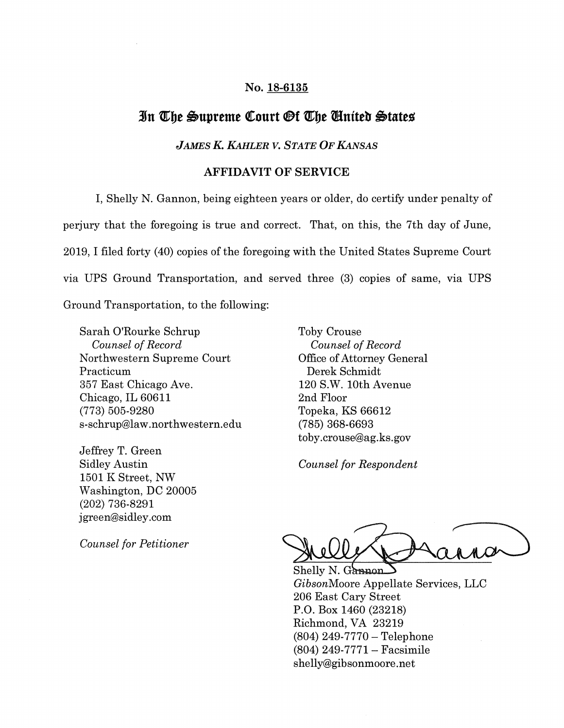## No. 18-6135

## **Jn 'Q[;be 6upreme QCourt <9f 'Q[;be mniteb 6tates**

## *JAMES K. KAHLER v. STATE OF KANSAS*

## AFFIDAVIT OF SERVICE

I, Shelly N. Gannon, being eighteen years or older, do certify under penalty of perjury that the foregoing is true and correct. That, on this, the 7th day of June, 2019, I filed forty (40) copies of the foregoing with the United States Supreme Court via UPS Ground Transportation, and served three (3) copies of same, via UPS Ground Transportation, to the following:

Sarah O'Rourke Schrup *Counsel of Record*  Northwestern Supreme Court Practicum 357 East Chicago Ave. Chicago, IL 60611 (773) 505-9280 s-schrup@law.northwestern.edu

Jeffrey T. Green Sidley Austin 1501 K Street, NW Washington, DC 20005 (202) 736-8291 j green@sidley.com

*Counsel for Petitioner* 

Toby Crouse *Counsel of Record*  Office of Attorney General Derek Schmidt 120 S.W. 10th Avenue 2nd Floor Topeka, KS 66612 (785) 368-6693 toby.crouse@ag.ks.gov

*Counsel for Respondent* 

Shelly N. Gannon GibsonMoore Appellate Services, LLC 206 East Cary Street P.O. Box 1460 (23218) Richmond, VA 23219  $(804)$  249-7770 - Telephone  $(804)$  249-7771 – Facsimile shelly@gibsonmoore.net